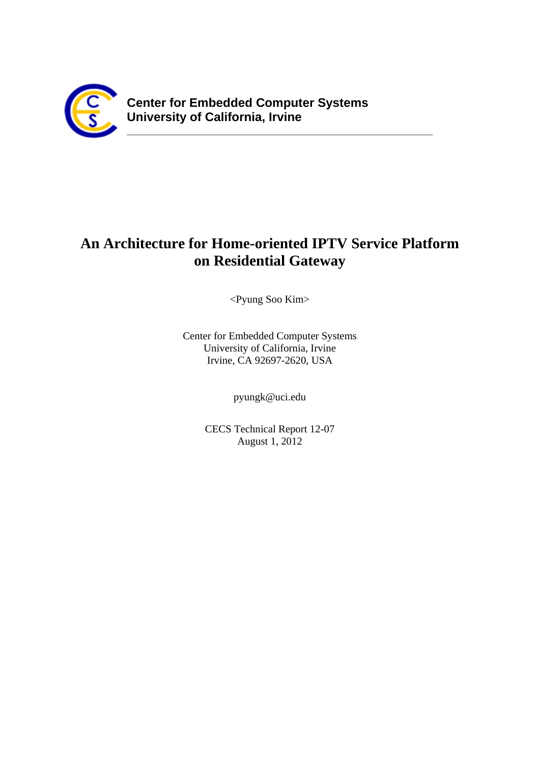

# **An Architecture for Home-oriented IPTV Service Platform on Residential Gateway**

<Pyung Soo Kim>

Center for Embedded Computer Systems University of California, Irvine Irvine, CA 92697-2620, USA

pyungk@uci.edu

CECS Technical Report 12-07 August 1, 2012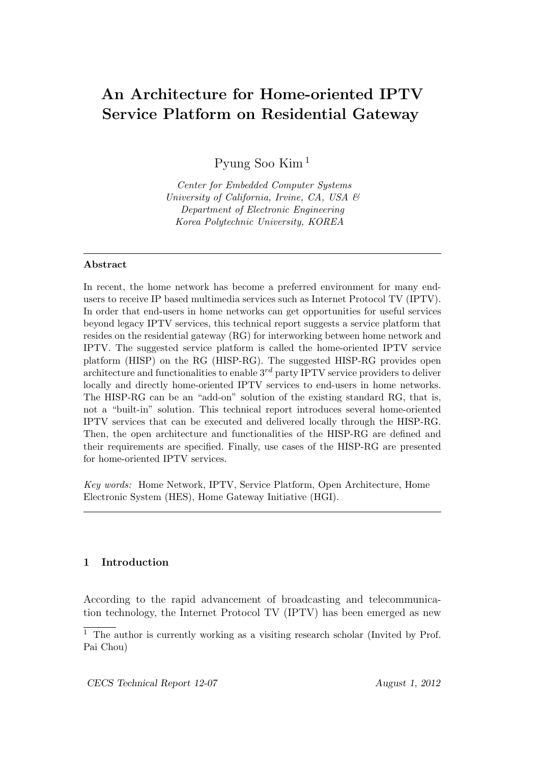# **An Architecture for Home-oriented IPTV Service Platform on Residential Gateway**

Pyung Soo Kim <sup>1</sup>

*Center for Embedded Computer Systems University of California, Irvine, CA, USA & Department of Electronic Engineering Korea Polytechnic University, KOREA*

### **Abstract**

In recent, the home network has become a preferred environment for many endusers to receive IP based multimedia services such as Internet Protocol TV (IPTV). In order that end-users in home networks can get opportunities for useful services beyond legacy IPTV services, this technical report suggests a service platform that resides on the residential gateway (RG) for interworking between home network and IPTV. The suggested service platform is called the home-oriented IPTV service platform (HISP) on the RG (HISP-RG). The suggested HISP-RG provides open architecture and functionalities to enable 3*rd* party IPTV service providers to deliver locally and directly home-oriented IPTV services to end-users in home networks. The HISP-RG can be an "add-on" solution of the existing standard RG, that is, not a "built-in" solution. This technical report introduces several home-oriented IPTV services that can be executed and delivered locally through the HISP-RG. Then, the open architecture and functionalities of the HISP-RG are defined and their requirements are specified. Finally, use cases of the HISP-RG are presented for home-oriented IPTV services.

*Key words:* Home Network, IPTV, Service Platform, Open Architecture, Home Electronic System (HES), Home Gateway Initiative (HGI).

# **1 Introduction**

According to the rapid advancement of broadcasting and telecommunication technology, the Internet Protocol TV (IPTV) has been emerged as new

<sup>&</sup>lt;sup>1</sup> The author is currently working as a visiting research scholar (Invited by Prof. Pai Chou)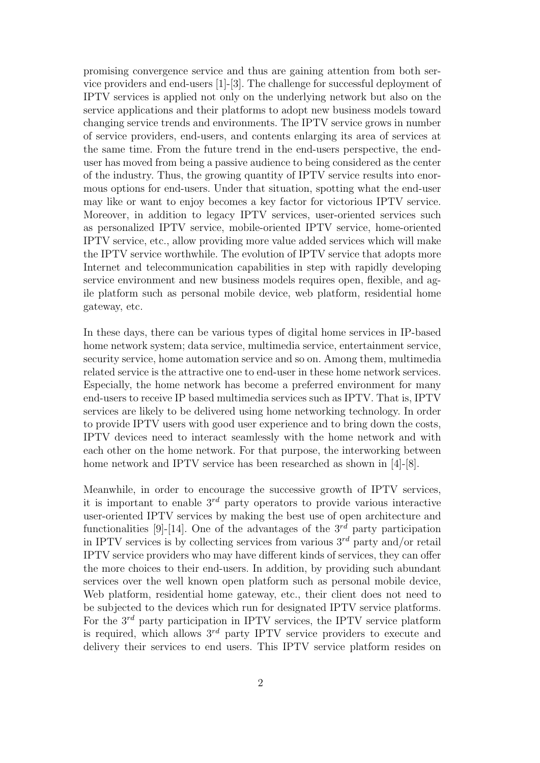promising convergence service and thus are gaining attention from both service providers and end-users [1]-[3]. The challenge for successful deployment of IPTV services is applied not only on the underlying network but also on the service applications and their platforms to adopt new business models toward changing service trends and environments. The IPTV service grows in number of service providers, end-users, and contents enlarging its area of services at the same time. From the future trend in the end-users perspective, the enduser has moved from being a passive audience to being considered as the center of the industry. Thus, the growing quantity of IPTV service results into enormous options for end-users. Under that situation, spotting what the end-user may like or want to enjoy becomes a key factor for victorious IPTV service. Moreover, in addition to legacy IPTV services, user-oriented services such as personalized IPTV service, mobile-oriented IPTV service, home-oriented IPTV service, etc., allow providing more value added services which will make the IPTV service worthwhile. The evolution of IPTV service that adopts more Internet and telecommunication capabilities in step with rapidly developing service environment and new business models requires open, flexible, and agile platform such as personal mobile device, web platform, residential home gateway, etc.

In these days, there can be various types of digital home services in IP-based home network system; data service, multimedia service, entertainment service, security service, home automation service and so on. Among them, multimedia related service is the attractive one to end-user in these home network services. Especially, the home network has become a preferred environment for many end-users to receive IP based multimedia services such as IPTV. That is, IPTV services are likely to be delivered using home networking technology. In order to provide IPTV users with good user experience and to bring down the costs, IPTV devices need to interact seamlessly with the home network and with each other on the home network. For that purpose, the interworking between home network and IPTV service has been researched as shown in [4]-[8].

Meanwhile, in order to encourage the successive growth of IPTV services, it is important to enable 3*rd* party operators to provide various interactive user-oriented IPTV services by making the best use of open architecture and functionalities [9]-[14]. One of the advantages of the  $3^{rd}$  party participation in IPTV services is by collecting services from various 3*rd* party and/or retail IPTV service providers who may have different kinds of services, they can offer the more choices to their end-users. In addition, by providing such abundant services over the well known open platform such as personal mobile device, Web platform, residential home gateway, etc., their client does not need to be subjected to the devices which run for designated IPTV service platforms. For the 3*rd* party participation in IPTV services, the IPTV service platform is required, which allows  $3<sup>rd</sup>$  party IPTV service providers to execute and delivery their services to end users. This IPTV service platform resides on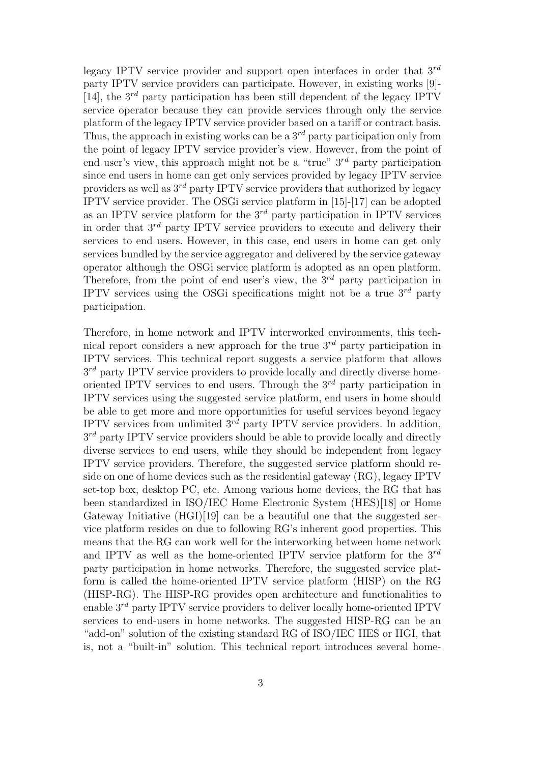legacy IPTV service provider and support open interfaces in order that 3*rd* party IPTV service providers can participate. However, in existing works [9]- [14], the  $3<sup>rd</sup>$  party participation has been still dependent of the legacy IPTV service operator because they can provide services through only the service platform of the legacy IPTV service provider based on a tariff or contract basis. Thus, the approach in existing works can be a 3*rd* party participation only from the point of legacy IPTV service provider's view. However, from the point of end user's view, this approach might not be a "true" 3*rd* party participation since end users in home can get only services provided by legacy IPTV service providers as well as 3*rd* party IPTV service providers that authorized by legacy IPTV service provider. The OSGi service platform in [15]-[17] can be adopted as an IPTV service platform for the 3*rd* party participation in IPTV services in order that 3*rd* party IPTV service providers to execute and delivery their services to end users. However, in this case, end users in home can get only services bundled by the service aggregator and delivered by the service gateway operator although the OSGi service platform is adopted as an open platform. Therefore, from the point of end user's view, the 3*rd* party participation in IPTV services using the OSGi specifications might not be a true 3*rd* party participation.

Therefore, in home network and IPTV interworked environments, this technical report considers a new approach for the true 3*rd* party participation in IPTV services. This technical report suggests a service platform that allows 3 *rd* party IPTV service providers to provide locally and directly diverse homeoriented IPTV services to end users. Through the 3*rd* party participation in IPTV services using the suggested service platform, end users in home should be able to get more and more opportunities for useful services beyond legacy IPTV services from unlimited 3*rd* party IPTV service providers. In addition,  $3^{rd}$  party IPTV service providers should be able to provide locally and directly diverse services to end users, while they should be independent from legacy IPTV service providers. Therefore, the suggested service platform should reside on one of home devices such as the residential gateway (RG), legacy IPTV set-top box, desktop PC, etc. Among various home devices, the RG that has been standardized in ISO/IEC Home Electronic System (HES)[18] or Home Gateway Initiative (HGI)[19] can be a beautiful one that the suggested service platform resides on due to following RG's inherent good properties. This means that the RG can work well for the interworking between home network and IPTV as well as the home-oriented IPTV service platform for the 3*rd* party participation in home networks. Therefore, the suggested service platform is called the home-oriented IPTV service platform (HISP) on the RG (HISP-RG). The HISP-RG provides open architecture and functionalities to enable 3*rd* party IPTV service providers to deliver locally home-oriented IPTV services to end-users in home networks. The suggested HISP-RG can be an "add-on" solution of the existing standard RG of ISO/IEC HES or HGI, that is, not a "built-in" solution. This technical report introduces several home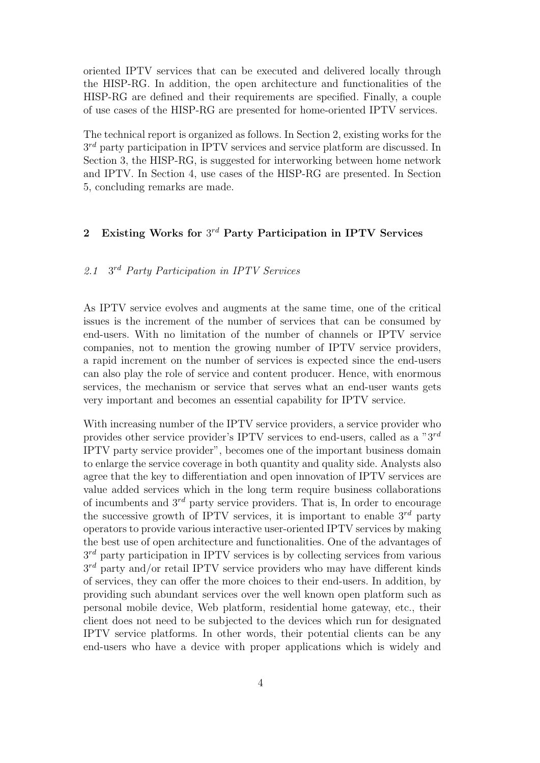oriented IPTV services that can be executed and delivered locally through the HISP-RG. In addition, the open architecture and functionalities of the HISP-RG are defined and their requirements are specified. Finally, a couple of use cases of the HISP-RG are presented for home-oriented IPTV services.

The technical report is organized as follows. In Section 2, existing works for the  $3^{rd}$  party participation in IPTV services and service platform are discussed. In Section 3, the HISP-RG, is suggested for interworking between home network and IPTV. In Section 4, use cases of the HISP-RG are presented. In Section 5, concluding remarks are made.

# **2 Existing Works for** 3 *rd* **Party Participation in IPTV Services**

#### *2.1* 3 *rd Party Participation in IPTV Services*

As IPTV service evolves and augments at the same time, one of the critical issues is the increment of the number of services that can be consumed by end-users. With no limitation of the number of channels or IPTV service companies, not to mention the growing number of IPTV service providers, a rapid increment on the number of services is expected since the end-users can also play the role of service and content producer. Hence, with enormous services, the mechanism or service that serves what an end-user wants gets very important and becomes an essential capability for IPTV service.

With increasing number of the IPTV service providers, a service provider who provides other service provider's IPTV services to end-users, called as a "3*rd* IPTV party service provider", becomes one of the important business domain to enlarge the service coverage in both quantity and quality side. Analysts also agree that the key to differentiation and open innovation of IPTV services are value added services which in the long term require business collaborations of incumbents and 3*rd* party service providers. That is, In order to encourage the successive growth of IPTV services, it is important to enable  $3^{rd}$  party operators to provide various interactive user-oriented IPTV services by making the best use of open architecture and functionalities. One of the advantages of  $3^{rd}$  party participation in IPTV services is by collecting services from various 3 *rd* party and/or retail IPTV service providers who may have different kinds of services, they can offer the more choices to their end-users. In addition, by providing such abundant services over the well known open platform such as personal mobile device, Web platform, residential home gateway, etc., their client does not need to be subjected to the devices which run for designated IPTV service platforms. In other words, their potential clients can be any end-users who have a device with proper applications which is widely and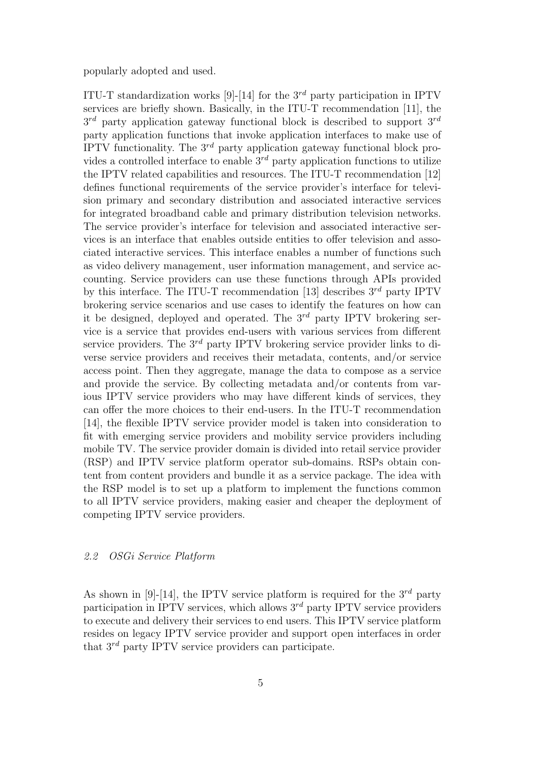popularly adopted and used.

ITU-T standardization works [9]-[14] for the 3*rd* party participation in IPTV services are briefly shown. Basically, in the ITU-T recommendation [11], the 3 *rd* party application gateway functional block is described to support 3*rd* party application functions that invoke application interfaces to make use of IPTV functionality. The 3*rd* party application gateway functional block provides a controlled interface to enable 3*rd* party application functions to utilize the IPTV related capabilities and resources. The ITU-T recommendation [12] defines functional requirements of the service provider's interface for television primary and secondary distribution and associated interactive services for integrated broadband cable and primary distribution television networks. The service provider's interface for television and associated interactive services is an interface that enables outside entities to offer television and associated interactive services. This interface enables a number of functions such as video delivery management, user information management, and service accounting. Service providers can use these functions through APIs provided by this interface. The ITU-T recommendation [13] describes 3*rd* party IPTV brokering service scenarios and use cases to identify the features on how can it be designed, deployed and operated. The 3*rd* party IPTV brokering service is a service that provides end-users with various services from different service providers. The 3*rd* party IPTV brokering service provider links to diverse service providers and receives their metadata, contents, and/or service access point. Then they aggregate, manage the data to compose as a service and provide the service. By collecting metadata and/or contents from various IPTV service providers who may have different kinds of services, they can offer the more choices to their end-users. In the ITU-T recommendation [14], the flexible IPTV service provider model is taken into consideration to fit with emerging service providers and mobility service providers including mobile TV. The service provider domain is divided into retail service provider (RSP) and IPTV service platform operator sub-domains. RSPs obtain content from content providers and bundle it as a service package. The idea with the RSP model is to set up a platform to implement the functions common to all IPTV service providers, making easier and cheaper the deployment of competing IPTV service providers.

#### *2.2 OSGi Service Platform*

As shown in [9]-[14], the IPTV service platform is required for the  $3^{rd}$  party participation in IPTV services, which allows 3*rd* party IPTV service providers to execute and delivery their services to end users. This IPTV service platform resides on legacy IPTV service provider and support open interfaces in order that 3*rd* party IPTV service providers can participate.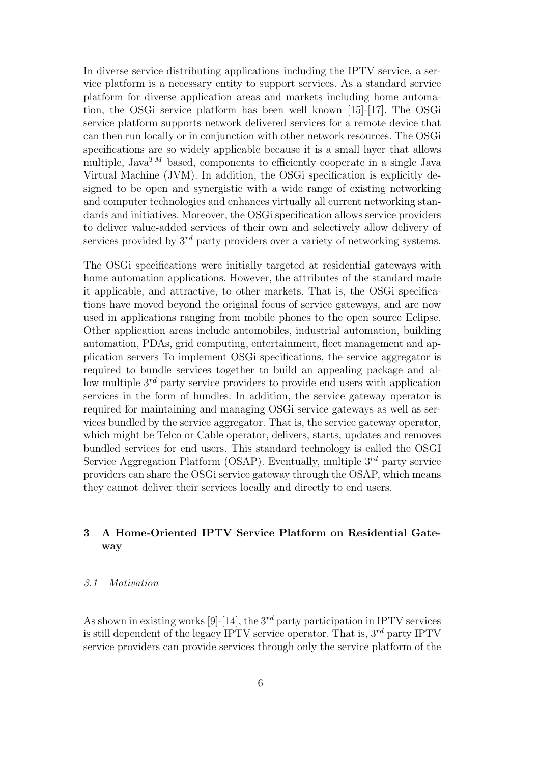In diverse service distributing applications including the IPTV service, a service platform is a necessary entity to support services. As a standard service platform for diverse application areas and markets including home automation, the OSGi service platform has been well known [15]-[17]. The OSGi service platform supports network delivered services for a remote device that can then run locally or in conjunction with other network resources. The OSGi specifications are so widely applicable because it is a small layer that allows multiple, Java<sup>TM</sup> based, components to efficiently cooperate in a single Java Virtual Machine (JVM). In addition, the OSGi specification is explicitly designed to be open and synergistic with a wide range of existing networking and computer technologies and enhances virtually all current networking standards and initiatives. Moreover, the OSGi specification allows service providers to deliver value-added services of their own and selectively allow delivery of services provided by  $3^{rd}$  party providers over a variety of networking systems.

The OSGi specifications were initially targeted at residential gateways with home automation applications. However, the attributes of the standard made it applicable, and attractive, to other markets. That is, the OSGi specifications have moved beyond the original focus of service gateways, and are now used in applications ranging from mobile phones to the open source Eclipse. Other application areas include automobiles, industrial automation, building automation, PDAs, grid computing, entertainment, fleet management and application servers To implement OSGi specifications, the service aggregator is required to bundle services together to build an appealing package and allow multiple 3*rd* party service providers to provide end users with application services in the form of bundles. In addition, the service gateway operator is required for maintaining and managing OSGi service gateways as well as services bundled by the service aggregator. That is, the service gateway operator, which might be Telco or Cable operator, delivers, starts, updates and removes bundled services for end users. This standard technology is called the OSGI Service Aggregation Platform (OSAP). Eventually, multiple 3*rd* party service providers can share the OSGi service gateway through the OSAP, which means they cannot deliver their services locally and directly to end users.

# **3 A Home-Oriented IPTV Service Platform on Residential Gateway**

### *3.1 Motivation*

As shown in existing works [9]-[14], the 3*rd* party participation in IPTV services is still dependent of the legacy IPTV service operator. That is, 3*rd* party IPTV service providers can provide services through only the service platform of the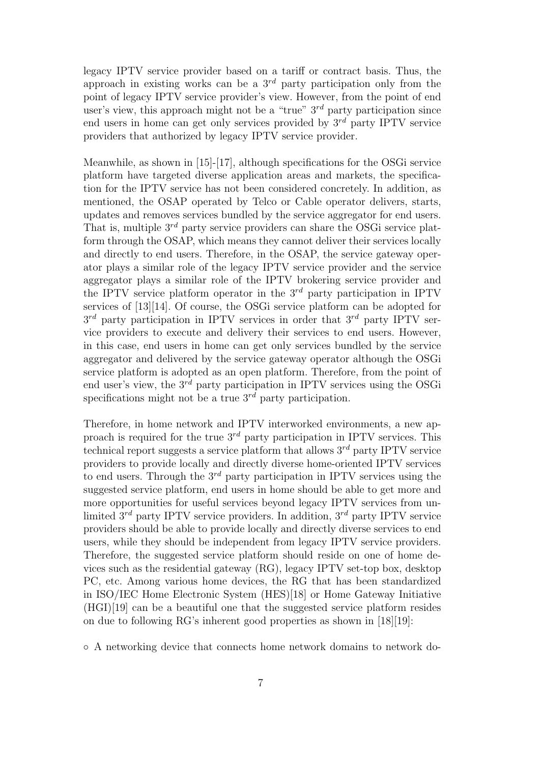legacy IPTV service provider based on a tariff or contract basis. Thus, the approach in existing works can be a 3*rd* party participation only from the point of legacy IPTV service provider's view. However, from the point of end user's view, this approach might not be a "true" 3*rd* party participation since end users in home can get only services provided by 3*rd* party IPTV service providers that authorized by legacy IPTV service provider.

Meanwhile, as shown in [15]-[17], although specifications for the OSGi service platform have targeted diverse application areas and markets, the specification for the IPTV service has not been considered concretely. In addition, as mentioned, the OSAP operated by Telco or Cable operator delivers, starts, updates and removes services bundled by the service aggregator for end users. That is, multiple 3*rd* party service providers can share the OSGi service platform through the OSAP, which means they cannot deliver their services locally and directly to end users. Therefore, in the OSAP, the service gateway operator plays a similar role of the legacy IPTV service provider and the service aggregator plays a similar role of the IPTV brokering service provider and the IPTV service platform operator in the 3*rd* party participation in IPTV services of [13][14]. Of course, the OSGi service platform can be adopted for 3 *rd* party participation in IPTV services in order that 3*rd* party IPTV service providers to execute and delivery their services to end users. However, in this case, end users in home can get only services bundled by the service aggregator and delivered by the service gateway operator although the OSGi service platform is adopted as an open platform. Therefore, from the point of end user's view, the 3*rd* party participation in IPTV services using the OSGi specifications might not be a true 3*rd* party participation.

Therefore, in home network and IPTV interworked environments, a new approach is required for the true 3*rd* party participation in IPTV services. This technical report suggests a service platform that allows 3*rd* party IPTV service providers to provide locally and directly diverse home-oriented IPTV services to end users. Through the 3*rd* party participation in IPTV services using the suggested service platform, end users in home should be able to get more and more opportunities for useful services beyond legacy IPTV services from unlimited 3*rd* party IPTV service providers. In addition, 3*rd* party IPTV service providers should be able to provide locally and directly diverse services to end users, while they should be independent from legacy IPTV service providers. Therefore, the suggested service platform should reside on one of home devices such as the residential gateway (RG), legacy IPTV set-top box, desktop PC, etc. Among various home devices, the RG that has been standardized in ISO/IEC Home Electronic System (HES)[18] or Home Gateway Initiative (HGI)[19] can be a beautiful one that the suggested service platform resides on due to following RG's inherent good properties as shown in [18][19]:

*◦* A networking device that connects home network domains to network do-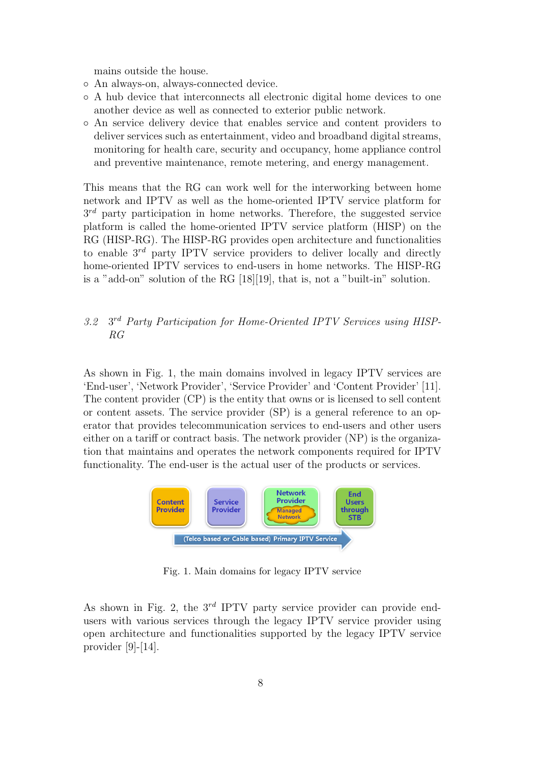mains outside the house.

- *◦* An always-on, always-connected device.
- *◦* A hub device that interconnects all electronic digital home devices to one another device as well as connected to exterior public network.
- *◦* An service delivery device that enables service and content providers to deliver services such as entertainment, video and broadband digital streams, monitoring for health care, security and occupancy, home appliance control and preventive maintenance, remote metering, and energy management.

This means that the RG can work well for the interworking between home network and IPTV as well as the home-oriented IPTV service platform for  $3<sup>rd</sup>$  party participation in home networks. Therefore, the suggested service platform is called the home-oriented IPTV service platform (HISP) on the RG (HISP-RG). The HISP-RG provides open architecture and functionalities to enable 3*rd* party IPTV service providers to deliver locally and directly home-oriented IPTV services to end-users in home networks. The HISP-RG is a "add-on" solution of the RG [18][19], that is, not a "built-in" solution.

#### *3.2* 3 *rd Party Participation for Home-Oriented IPTV Services using HISP-RG*

As shown in Fig. 1, the main domains involved in legacy IPTV services are 'End-user', 'Network Provider', 'Service Provider' and 'Content Provider' [11]. The content provider (CP) is the entity that owns or is licensed to sell content or content assets. The service provider (SP) is a general reference to an operator that provides telecommunication services to end-users and other users either on a tariff or contract basis. The network provider (NP) is the organization that maintains and operates the network components required for IPTV functionality. The end-user is the actual user of the products or services.



Fig. 1. Main domains for legacy IPTV service

As shown in Fig. 2, the 3<sup>rd</sup> IPTV party service provider can provide endusers with various services through the legacy IPTV service provider using open architecture and functionalities supported by the legacy IPTV service provider  $[9]-[14]$ .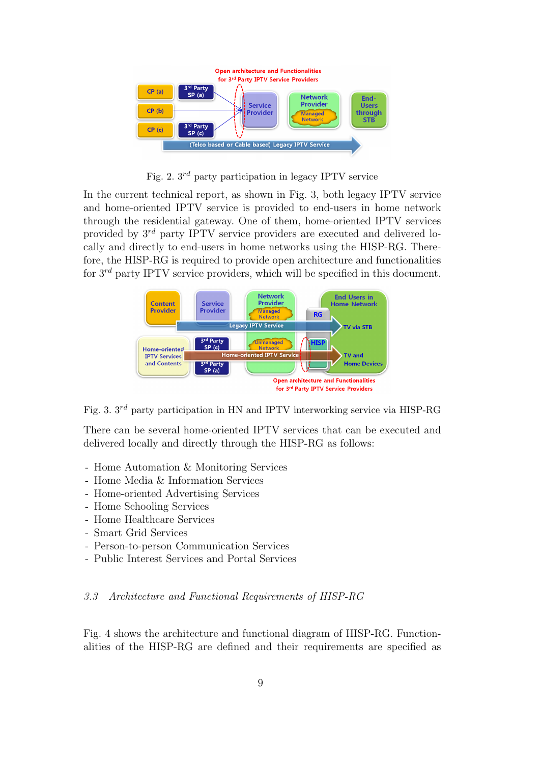

Fig. 2. 3*rd* party participation in legacy IPTV service

In the current technical report, as shown in Fig. 3, both legacy IPTV service and home-oriented IPTV service is provided to end-users in home network through the residential gateway. One of them, home-oriented IPTV services provided by 3*rd* party IPTV service providers are executed and delivered locally and directly to end-users in home networks using the HISP-RG. Therefore, the HISP-RG is required to provide open architecture and functionalities for 3*rd* party IPTV service providers, which will be specified in this document.



Fig. 3. 3*rd* party participation in HN and IPTV interworking service via HISP-RG

There can be several home-oriented IPTV services that can be executed and delivered locally and directly through the HISP-RG as follows:

- Home Automation & Monitoring Services
- Home Media & Information Services
- Home-oriented Advertising Services
- Home Schooling Services
- Home Healthcare Services
- Smart Grid Services
- Person-to-person Communication Services
- Public Interest Services and Portal Services

#### *3.3 Architecture and Functional Requirements of HISP-RG*

Fig. 4 shows the architecture and functional diagram of HISP-RG. Functionalities of the HISP-RG are defined and their requirements are specified as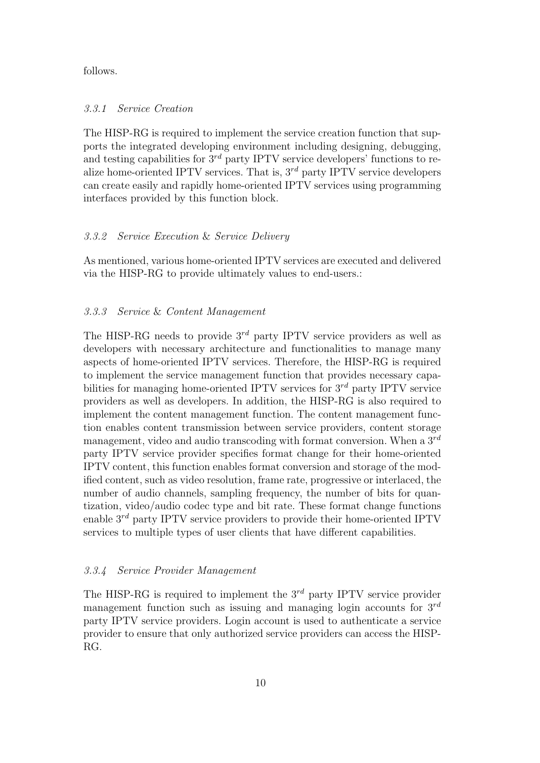#### follows.

#### *3.3.1 Service Creation*

The HISP-RG is required to implement the service creation function that supports the integrated developing environment including designing, debugging, and testing capabilities for  $3<sup>rd</sup>$  party IPTV service developers' functions to realize home-oriented IPTV services. That is, 3*rd* party IPTV service developers can create easily and rapidly home-oriented IPTV services using programming interfaces provided by this function block.

#### *3.3.2 Service Execution* & *Service Delivery*

As mentioned, various home-oriented IPTV services are executed and delivered via the HISP-RG to provide ultimately values to end-users.:

### *3.3.3 Service* & *Content Management*

The HISP-RG needs to provide 3*rd* party IPTV service providers as well as developers with necessary architecture and functionalities to manage many aspects of home-oriented IPTV services. Therefore, the HISP-RG is required to implement the service management function that provides necessary capabilities for managing home-oriented IPTV services for 3*rd* party IPTV service providers as well as developers. In addition, the HISP-RG is also required to implement the content management function. The content management function enables content transmission between service providers, content storage management, video and audio transcoding with format conversion. When a 3*rd* party IPTV service provider specifies format change for their home-oriented IPTV content, this function enables format conversion and storage of the modified content, such as video resolution, frame rate, progressive or interlaced, the number of audio channels, sampling frequency, the number of bits for quantization, video/audio codec type and bit rate. These format change functions enable 3*rd* party IPTV service providers to provide their home-oriented IPTV services to multiple types of user clients that have different capabilities.

#### *3.3.4 Service Provider Management*

The HISP-RG is required to implement the 3*rd* party IPTV service provider management function such as issuing and managing login accounts for 3*rd* party IPTV service providers. Login account is used to authenticate a service provider to ensure that only authorized service providers can access the HISP-RG.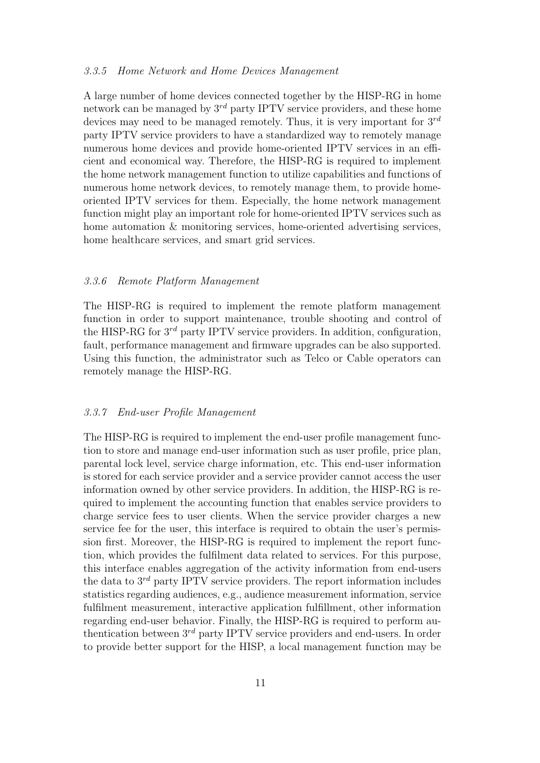#### *3.3.5 Home Network and Home Devices Management*

A large number of home devices connected together by the HISP-RG in home network can be managed by 3*rd* party IPTV service providers, and these home devices may need to be managed remotely. Thus, it is very important for 3*rd* party IPTV service providers to have a standardized way to remotely manage numerous home devices and provide home-oriented IPTV services in an efficient and economical way. Therefore, the HISP-RG is required to implement the home network management function to utilize capabilities and functions of numerous home network devices, to remotely manage them, to provide homeoriented IPTV services for them. Especially, the home network management function might play an important role for home-oriented IPTV services such as home automation & monitoring services, home-oriented advertising services, home healthcare services, and smart grid services.

#### *3.3.6 Remote Platform Management*

The HISP-RG is required to implement the remote platform management function in order to support maintenance, trouble shooting and control of the HISP-RG for 3*rd* party IPTV service providers. In addition, configuration, fault, performance management and firmware upgrades can be also supported. Using this function, the administrator such as Telco or Cable operators can remotely manage the HISP-RG.

#### *3.3.7 End-user Profile Management*

The HISP-RG is required to implement the end-user profile management function to store and manage end-user information such as user profile, price plan, parental lock level, service charge information, etc. This end-user information is stored for each service provider and a service provider cannot access the user information owned by other service providers. In addition, the HISP-RG is required to implement the accounting function that enables service providers to charge service fees to user clients. When the service provider charges a new service fee for the user, this interface is required to obtain the user's permission first. Moreover, the HISP-RG is required to implement the report function, which provides the fulfilment data related to services. For this purpose, this interface enables aggregation of the activity information from end-users the data to 3*rd* party IPTV service providers. The report information includes statistics regarding audiences, e.g., audience measurement information, service fulfilment measurement, interactive application fulfillment, other information regarding end-user behavior. Finally, the HISP-RG is required to perform authentication between 3*rd* party IPTV service providers and end-users. In order to provide better support for the HISP, a local management function may be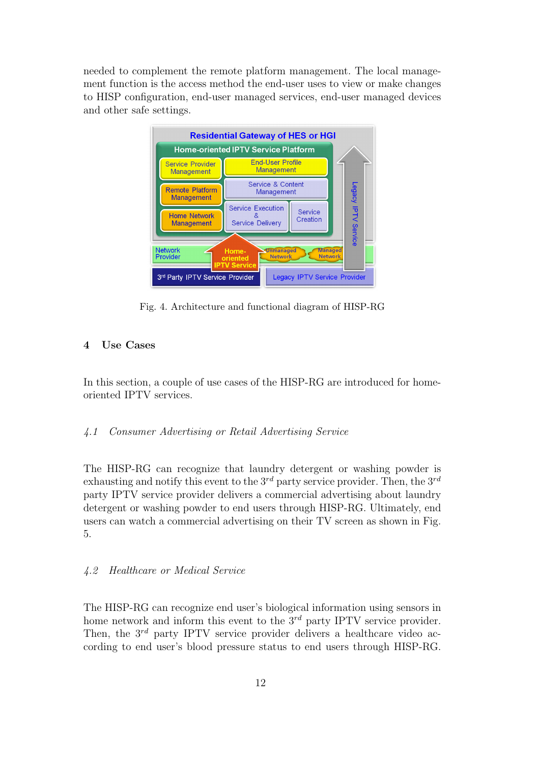needed to complement the remote platform management. The local management function is the access method the end-user uses to view or make changes to HISP configuration, end-user managed services, end-user managed devices and other safe settings.



Fig. 4. Architecture and functional diagram of HISP-RG

## **4 Use Cases**

In this section, a couple of use cases of the HISP-RG are introduced for homeoriented IPTV services.

# *4.1 Consumer Advertising or Retail Advertising Service*

The HISP-RG can recognize that laundry detergent or washing powder is exhausting and notify this event to the 3*rd* party service provider. Then, the 3*rd* party IPTV service provider delivers a commercial advertising about laundry detergent or washing powder to end users through HISP-RG. Ultimately, end users can watch a commercial advertising on their TV screen as shown in Fig. 5.

#### *4.2 Healthcare or Medical Service*

The HISP-RG can recognize end user's biological information using sensors in home network and inform this event to the 3<sup>rd</sup> party IPTV service provider. Then, the 3<sup>rd</sup> party IPTV service provider delivers a healthcare video according to end user's blood pressure status to end users through HISP-RG.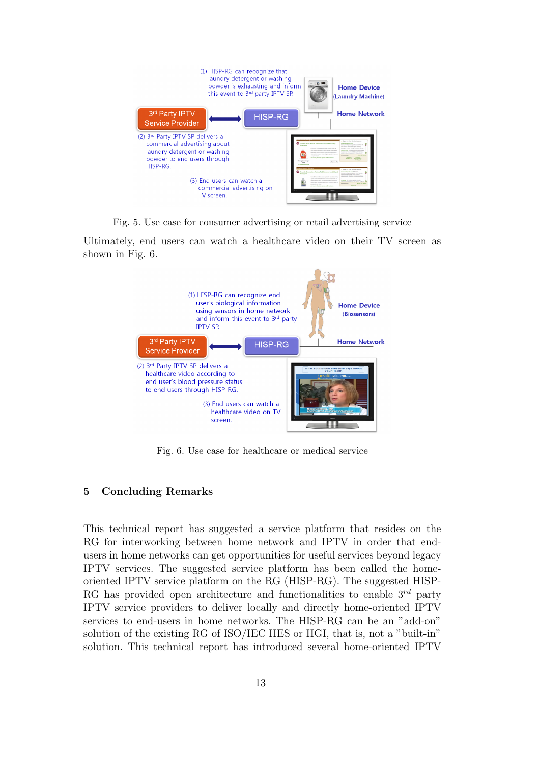

Fig. 5. Use case for consumer advertising or retail advertising service

Ultimately, end users can watch a healthcare video on their TV screen as shown in Fig. 6.



Fig. 6. Use case for healthcare or medical service

# **5 Concluding Remarks**

This technical report has suggested a service platform that resides on the RG for interworking between home network and IPTV in order that endusers in home networks can get opportunities for useful services beyond legacy IPTV services. The suggested service platform has been called the homeoriented IPTV service platform on the RG (HISP-RG). The suggested HISP-RG has provided open architecture and functionalities to enable 3*rd* party IPTV service providers to deliver locally and directly home-oriented IPTV services to end-users in home networks. The HISP-RG can be an "add-on" solution of the existing RG of ISO/IEC HES or HGI, that is, not a "built-in" solution. This technical report has introduced several home-oriented IPTV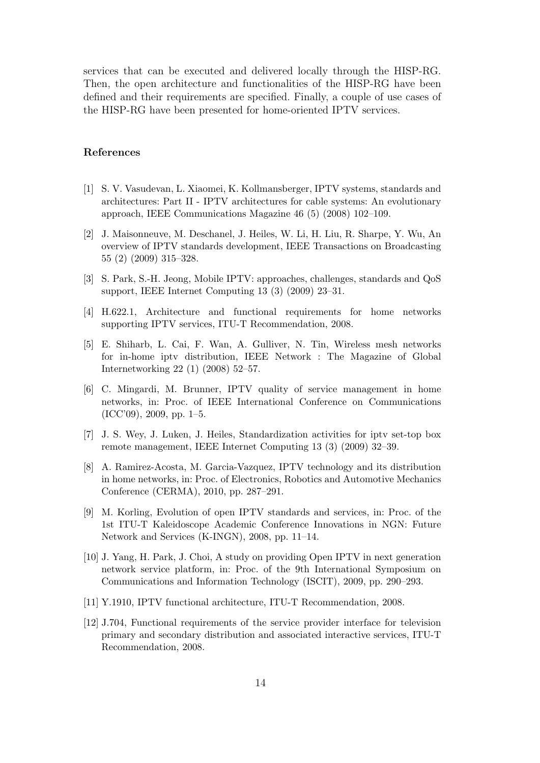services that can be executed and delivered locally through the HISP-RG. Then, the open architecture and functionalities of the HISP-RG have been defined and their requirements are specified. Finally, a couple of use cases of the HISP-RG have been presented for home-oriented IPTV services.

#### **References**

- [1] S. V. Vasudevan, L. Xiaomei, K. Kollmansberger, IPTV systems, standards and architectures: Part II - IPTV architectures for cable systems: An evolutionary approach, IEEE Communications Magazine 46 (5) (2008) 102–109.
- [2] J. Maisonneuve, M. Deschanel, J. Heiles, W. Li, H. Liu, R. Sharpe, Y. Wu, An overview of IPTV standards development, IEEE Transactions on Broadcasting 55 (2) (2009) 315–328.
- [3] S. Park, S.-H. Jeong, Mobile IPTV: approaches, challenges, standards and QoS support, IEEE Internet Computing 13 (3) (2009) 23–31.
- [4] H.622.1, Architecture and functional requirements for home networks supporting IPTV services, ITU-T Recommendation, 2008.
- [5] E. Shiharb, L. Cai, F. Wan, A. Gulliver, N. Tin, Wireless mesh networks for in-home iptv distribution, IEEE Network : The Magazine of Global Internetworking 22 (1) (2008) 52–57.
- [6] C. Mingardi, M. Brunner, IPTV quality of service management in home networks, in: Proc. of IEEE International Conference on Communications  $(ICC'09)$ , 2009, pp. 1–5.
- [7] J. S. Wey, J. Luken, J. Heiles, Standardization activities for iptv set-top box remote management, IEEE Internet Computing 13 (3) (2009) 32–39.
- [8] A. Ramirez-Acosta, M. Garcia-Vazquez, IPTV technology and its distribution in home networks, in: Proc. of Electronics, Robotics and Automotive Mechanics Conference (CERMA), 2010, pp. 287–291.
- [9] M. Korling, Evolution of open IPTV standards and services, in: Proc. of the 1st ITU-T Kaleidoscope Academic Conference Innovations in NGN: Future Network and Services (K-INGN), 2008, pp. 11–14.
- [10] J. Yang, H. Park, J. Choi, A study on providing Open IPTV in next generation network service platform, in: Proc. of the 9th International Symposium on Communications and Information Technology (ISCIT), 2009, pp. 290–293.
- [11] Y.1910, IPTV functional architecture, ITU-T Recommendation, 2008.
- [12] J.704, Functional requirements of the service provider interface for television primary and secondary distribution and associated interactive services, ITU-T Recommendation, 2008.